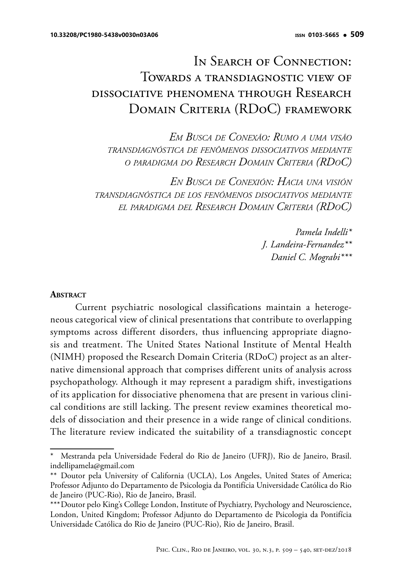# IN SEARCH OF CONNECTION: Towards a transdiagnostic view of dissociative phenomena through Research Domain Criteria (RDoC) framework

*Em Busca de Conexão: Rumo a uma visão transdiagnóstica de fenômenos dissociativos mediante o paradigma do Research Domain Criteria (RDoC)*

*En Busca de Conexión: Hacia una visión transdiagnóstica de los fenómenos disociativos mediante el paradigma del Research Domain Criteria (RDoC)*

> *Pamela Indelli\* J. Landeira-Fernandez\*\* Daniel C. Mograbi\*\*\**

#### **ABSTRACT**

Current psychiatric nosological classifications maintain a heterogeneous categorical view of clinical presentations that contribute to overlapping symptoms across different disorders, thus influencing appropriate diagnosis and treatment. The United States National Institute of Mental Health (NIMH) proposed the Research Domain Criteria (RDoC) project as an alternative dimensional approach that comprises different units of analysis across psychopathology. Although it may represent a paradigm shift, investigations of its application for dissociative phenomena that are present in various clinical conditions are still lacking. The present review examines theoretical models of dissociation and their presence in a wide range of clinical conditions. The literature review indicated the suitability of a transdiagnostic concept

<sup>\*</sup> Mestranda pela Universidade Federal do Rio de Janeiro (UFRJ), Rio de Janeiro, Brasil. indellipamela@gmail.com

<sup>\*\*</sup> Doutor pela University of California (UCLA), Los Angeles, United States of America; Professor Adjunto do Departamento de Psicologia da Pontifícia Universidade Católica do Rio de Janeiro (PUC-Rio), Rio de Janeiro, Brasil.

<sup>\*\*\*</sup>Doutor pelo King's College London, Institute of Psychiatry, Psychology and Neuroscience, London, United Kingdom; Professor Adjunto do Departamento de Psicologia da Pontifícia Universidade Católica do Rio de Janeiro (PUC-Rio), Rio de Janeiro, Brasil.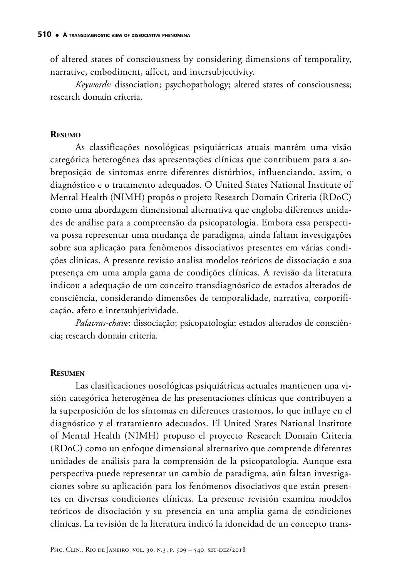of altered states of consciousness by considering dimensions of temporality, narrative, embodiment, affect, and intersubjectivity.

*Keywords:* dissociation; psychopathology; altered states of consciousness; research domain criteria.

#### **Resumo**

As classificações nosológicas psiquiátricas atuais mantêm uma visão categórica heterogênea das apresentações clínicas que contribuem para a sobreposição de sintomas entre diferentes distúrbios, influenciando, assim, o diagnóstico e o tratamento adequados. O United States National Institute of Mental Health (NIMH) propôs o projeto Research Domain Criteria (RDoC) como uma abordagem dimensional alternativa que engloba diferentes unidades de análise para a compreensão da psicopatologia. Embora essa perspectiva possa representar uma mudança de paradigma, ainda faltam investigações sobre sua aplicação para fenômenos dissociativos presentes em várias condições clínicas. A presente revisão analisa modelos teóricos de dissociação e sua presença em uma ampla gama de condições clínicas. A revisão da literatura indicou a adequação de um conceito transdiagnóstico de estados alterados de consciência, considerando dimensões de temporalidade, narrativa, corporificação, afeto e intersubjetividade.

*Palavras-chave*: dissociação; psicopatologia; estados alterados de consciência; research domain criteria.

#### **Resumen**

Las clasificaciones nosológicas psiquiátricas actuales mantienen una visión categórica heterogénea de las presentaciones clínicas que contribuyen a la superposición de los síntomas en diferentes trastornos, lo que influye en el diagnóstico y el tratamiento adecuados. El United States National Institute of Mental Health (NIMH) propuso el proyecto Research Domain Criteria (RDoC) como un enfoque dimensional alternativo que comprende diferentes unidades de análisis para la comprensión de la psicopatología. Aunque esta perspectiva puede representar un cambio de paradigma, aún faltan investigaciones sobre su aplicación para los fenómenos disociativos que están presentes en diversas condiciones clínicas. La presente revisión examina modelos teóricos de disociación y su presencia en una amplia gama de condiciones clínicas. La revisión de la literatura indicó la idoneidad de un concepto trans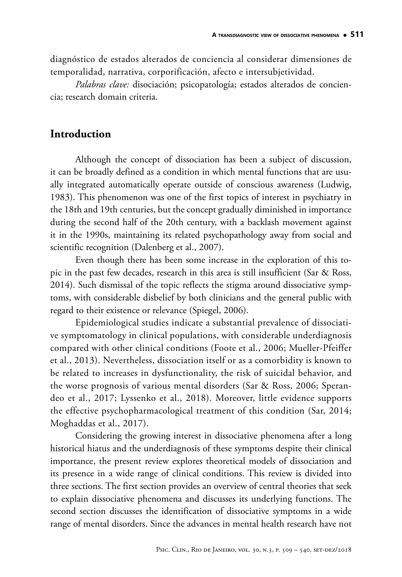diagnóstico de estados alterados de conciencia al considerar dimensiones de temporalidad, narrativa, corporificación, afecto e intersubjetividad.

*Palabras clave:* disociación; psicopatología; estados alterados de conciencia; research domain criteria.

# **Introduction**

Although the concept of dissociation has been a subject of discussion, it can be broadly defined as a condition in which mental functions that are usually integrated automatically operate outside of conscious awareness (Ludwig, 1983). This phenomenon was one of the first topics of interest in psychiatry in the 18th and 19th centuries, but the concept gradually diminished in importance during the second half of the 20th century, with a backlash movement against it in the 1990s, maintaining its related psychopathology away from social and scientific recognition (Dalenberg et al., 2007).

Even though there has been some increase in the exploration of this topic in the past few decades, research in this area is still insufficient (Sar & Ross, 2014). Such dismissal of the topic reflects the stigma around dissociative symptoms, with considerable disbelief by both clinicians and the general public with regard to their existence or relevance (Spiegel, 2006).

Epidemiological studies indicate a substantial prevalence of dissociative symptomatology in clinical populations, with considerable underdiagnosis compared with other clinical conditions (Foote et al., 2006; Mueller-Pfeiffer et al., 2013). Nevertheless, dissociation itself or as a comorbidity is known to be related to increases in dysfunctionality, the risk of suicidal behavior, and the worse prognosis of various mental disorders (Sar & Ross, 2006; Sperandeo et al., 2017; Lyssenko et al., 2018). Moreover, little evidence supports the effective psychopharmacological treatment of this condition (Sar, 2014; Moghaddas et al., 2017).

Considering the growing interest in dissociative phenomena after a long historical hiatus and the underdiagnosis of these symptoms despite their clinical importance, the present review explores theoretical models of dissociation and its presence in a wide range of clinical conditions. This review is divided into three sections. The first section provides an overview of central theories that seek to explain dissociative phenomena and discusses its underlying functions. The second section discusses the identification of dissociative symptoms in a wide range of mental disorders. Since the advances in mental health research have not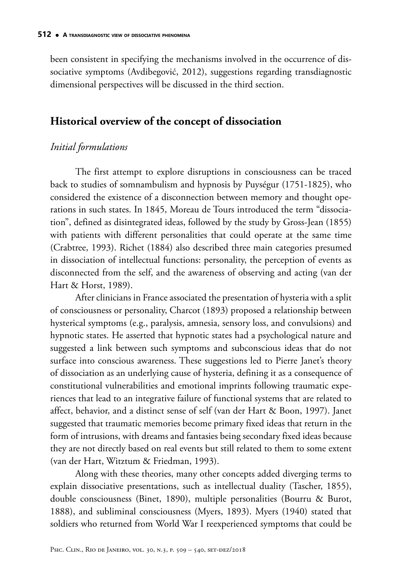been consistent in specifying the mechanisms involved in the occurrence of dissociative symptoms (Avdibegović, 2012), suggestions regarding transdiagnostic dimensional perspectives will be discussed in the third section.

# **Historical overview of the concept of dissociation**

### *Initial formulations*

The first attempt to explore disruptions in consciousness can be traced back to studies of somnambulism and hypnosis by Puységur (1751-1825), who considered the existence of a disconnection between memory and thought operations in such states. In 1845, Moreau de Tours introduced the term "dissociation", defined as disintegrated ideas, followed by the study by Gross-Jean (1855) with patients with different personalities that could operate at the same time (Crabtree, 1993). Richet (1884) also described three main categories presumed in dissociation of intellectual functions: personality, the perception of events as disconnected from the self, and the awareness of observing and acting (van der Hart & Horst, 1989).

After clinicians in France associated the presentation of hysteria with a split of consciousness or personality, Charcot (1893) proposed a relationship between hysterical symptoms (e.g., paralysis, amnesia, sensory loss, and convulsions) and hypnotic states. He asserted that hypnotic states had a psychological nature and suggested a link between such symptoms and subconscious ideas that do not surface into conscious awareness. These suggestions led to Pierre Janet's theory of dissociation as an underlying cause of hysteria, defining it as a consequence of constitutional vulnerabilities and emotional imprints following traumatic experiences that lead to an integrative failure of functional systems that are related to affect, behavior, and a distinct sense of self (van der Hart & Boon, 1997). Janet suggested that traumatic memories become primary fixed ideas that return in the form of intrusions, with dreams and fantasies being secondary fixed ideas because they are not directly based on real events but still related to them to some extent (van der Hart, Witztum & Friedman, 1993).

Along with these theories, many other concepts added diverging terms to explain dissociative presentations, such as intellectual duality (Tascher, 1855), double consciousness (Binet, 1890), multiple personalities (Bourru & Burot, 1888), and subliminal consciousness (Myers, 1893). Myers (1940) stated that soldiers who returned from World War I reexperienced symptoms that could be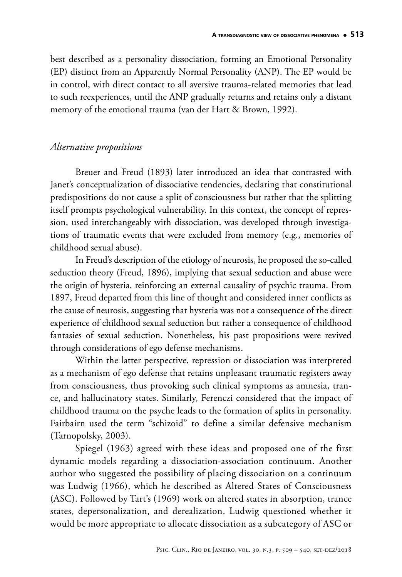best described as a personality dissociation, forming an Emotional Personality (EP) distinct from an Apparently Normal Personality (ANP). The EP would be in control, with direct contact to all aversive trauma-related memories that lead to such reexperiences, until the ANP gradually returns and retains only a distant memory of the emotional trauma (van der Hart & Brown, 1992).

#### *Alternative propositions*

Breuer and Freud (1893) later introduced an idea that contrasted with Janet's conceptualization of dissociative tendencies, declaring that constitutional predispositions do not cause a split of consciousness but rather that the splitting itself prompts psychological vulnerability. In this context, the concept of repression, used interchangeably with dissociation, was developed through investigations of traumatic events that were excluded from memory (e.g., memories of childhood sexual abuse).

In Freud's description of the etiology of neurosis, he proposed the so-called seduction theory (Freud, 1896), implying that sexual seduction and abuse were the origin of hysteria, reinforcing an external causality of psychic trauma. From 1897, Freud departed from this line of thought and considered inner conflicts as the cause of neurosis, suggesting that hysteria was not a consequence of the direct experience of childhood sexual seduction but rather a consequence of childhood fantasies of sexual seduction. Nonetheless, his past propositions were revived through considerations of ego defense mechanisms.

Within the latter perspective, repression or dissociation was interpreted as a mechanism of ego defense that retains unpleasant traumatic registers away from consciousness, thus provoking such clinical symptoms as amnesia, trance, and hallucinatory states. Similarly, Ferenczi considered that the impact of childhood trauma on the psyche leads to the formation of splits in personality. Fairbairn used the term "schizoid" to define a similar defensive mechanism (Tarnopolsky, 2003).

Spiegel (1963) agreed with these ideas and proposed one of the first dynamic models regarding a dissociation-association continuum. Another author who suggested the possibility of placing dissociation on a continuum was Ludwig (1966), which he described as Altered States of Consciousness (ASC). Followed by Tart's (1969) work on altered states in absorption, trance states, depersonalization, and derealization, Ludwig questioned whether it would be more appropriate to allocate dissociation as a subcategory of ASC or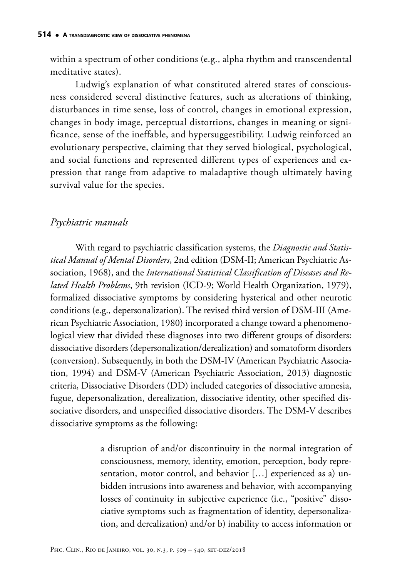within a spectrum of other conditions (e.g., alpha rhythm and transcendental meditative states).

Ludwig's explanation of what constituted altered states of consciousness considered several distinctive features, such as alterations of thinking, disturbances in time sense, loss of control, changes in emotional expression, changes in body image, perceptual distortions, changes in meaning or significance, sense of the ineffable, and hypersuggestibility. Ludwig reinforced an evolutionary perspective, claiming that they served biological, psychological, and social functions and represented different types of experiences and expression that range from adaptive to maladaptive though ultimately having survival value for the species.

### *Psychiatric manuals*

With regard to psychiatric classification systems, the *Diagnostic and Statistical Manual of Mental Disorders*, 2nd edition (DSM-II; American Psychiatric Association, 1968), and the *International Statistical Classification of Diseases and Related Health Problems*, 9th revision (ICD-9; World Health Organization, 1979), formalized dissociative symptoms by considering hysterical and other neurotic conditions (e.g., depersonalization). The revised third version of DSM-III (American Psychiatric Association, 1980) incorporated a change toward a phenomenological view that divided these diagnoses into two different groups of disorders: dissociative disorders (depersonalization/derealization) and somatoform disorders (conversion). Subsequently, in both the DSM-IV (American Psychiatric Association, 1994) and DSM-V (American Psychiatric Association, 2013) diagnostic criteria, Dissociative Disorders (DD) included categories of dissociative amnesia, fugue, depersonalization, derealization, dissociative identity, other specified dissociative disorders, and unspecified dissociative disorders. The DSM-V describes dissociative symptoms as the following:

> a disruption of and/or discontinuity in the normal integration of consciousness, memory, identity, emotion, perception, body representation, motor control, and behavior […] experienced as a) unbidden intrusions into awareness and behavior, with accompanying losses of continuity in subjective experience (i.e., "positive" dissociative symptoms such as fragmentation of identity, depersonalization, and derealization) and/or b) inability to access information or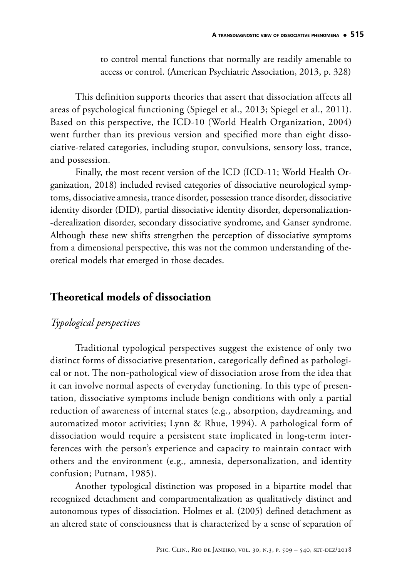to control mental functions that normally are readily amenable to access or control. (American Psychiatric Association, 2013, p. 328)

This definition supports theories that assert that dissociation affects all areas of psychological functioning (Spiegel et al., 2013; Spiegel et al., 2011). Based on this perspective, the ICD-10 (World Health Organization, 2004) went further than its previous version and specified more than eight dissociative-related categories, including stupor, convulsions, sensory loss, trance, and possession.

Finally, the most recent version of the ICD (ICD-11; World Health Organization, 2018) included revised categories of dissociative neurological symptoms, dissociative amnesia, trance disorder, possession trance disorder, dissociative identity disorder (DID), partial dissociative identity disorder, depersonalization- -derealization disorder, secondary dissociative syndrome, and Ganser syndrome. Although these new shifts strengthen the perception of dissociative symptoms from a dimensional perspective, this was not the common understanding of theoretical models that emerged in those decades.

# **Theoretical models of dissociation**

# *Typological perspectives*

Traditional typological perspectives suggest the existence of only two distinct forms of dissociative presentation, categorically defined as pathological or not. The non-pathological view of dissociation arose from the idea that it can involve normal aspects of everyday functioning. In this type of presentation, dissociative symptoms include benign conditions with only a partial reduction of awareness of internal states (e.g., absorption, daydreaming, and automatized motor activities; Lynn & Rhue, 1994). A pathological form of dissociation would require a persistent state implicated in long-term interferences with the person's experience and capacity to maintain contact with others and the environment (e.g., amnesia, depersonalization, and identity confusion; Putnam, 1985).

Another typological distinction was proposed in a bipartite model that recognized detachment and compartmentalization as qualitatively distinct and autonomous types of dissociation. Holmes et al. (2005) defined detachment as an altered state of consciousness that is characterized by a sense of separation of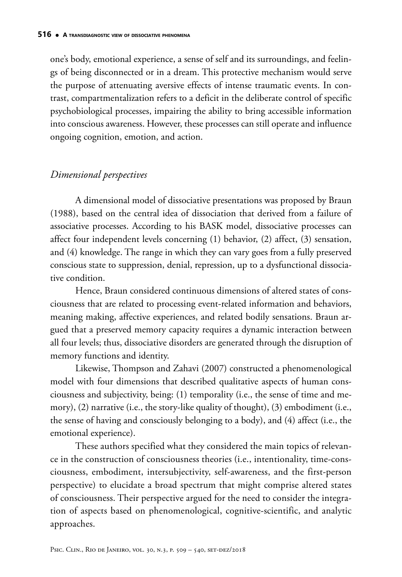one's body, emotional experience, a sense of self and its surroundings, and feelings of being disconnected or in a dream. This protective mechanism would serve the purpose of attenuating aversive effects of intense traumatic events. In contrast, compartmentalization refers to a deficit in the deliberate control of specific psychobiological processes, impairing the ability to bring accessible information into conscious awareness. However, these processes can still operate and influence ongoing cognition, emotion, and action.

#### *Dimensional perspectives*

A dimensional model of dissociative presentations was proposed by Braun (1988), based on the central idea of dissociation that derived from a failure of associative processes. According to his BASK model, dissociative processes can affect four independent levels concerning (1) behavior, (2) affect, (3) sensation, and (4) knowledge. The range in which they can vary goes from a fully preserved conscious state to suppression, denial, repression, up to a dysfunctional dissociative condition.

Hence, Braun considered continuous dimensions of altered states of consciousness that are related to processing event-related information and behaviors, meaning making, affective experiences, and related bodily sensations. Braun argued that a preserved memory capacity requires a dynamic interaction between all four levels; thus, dissociative disorders are generated through the disruption of memory functions and identity.

Likewise, Thompson and Zahavi (2007) constructed a phenomenological model with four dimensions that described qualitative aspects of human consciousness and subjectivity, being: (1) temporality (i.e., the sense of time and memory), (2) narrative (i.e., the story-like quality of thought), (3) embodiment (i.e., the sense of having and consciously belonging to a body), and (4) affect (i.e., the emotional experience).

These authors specified what they considered the main topics of relevance in the construction of consciousness theories (i.e., intentionality, time-consciousness, embodiment, intersubjectivity, self-awareness, and the first-person perspective) to elucidate a broad spectrum that might comprise altered states of consciousness. Their perspective argued for the need to consider the integration of aspects based on phenomenological, cognitive-scientific, and analytic approaches.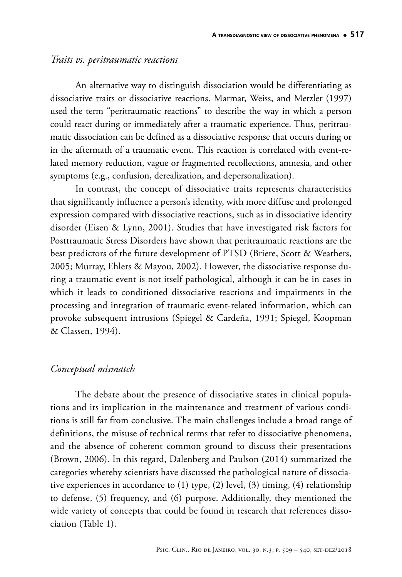#### *Traits vs. peritraumatic reactions*

An alternative way to distinguish dissociation would be differentiating as dissociative traits or dissociative reactions. Marmar, Weiss, and Metzler (1997) used the term "peritraumatic reactions" to describe the way in which a person could react during or immediately after a traumatic experience. Thus, peritraumatic dissociation can be defined as a dissociative response that occurs during or in the aftermath of a traumatic event. This reaction is correlated with event-related memory reduction, vague or fragmented recollections, amnesia, and other symptoms (e.g., confusion, derealization, and depersonalization).

In contrast, the concept of dissociative traits represents characteristics that significantly influence a person's identity, with more diffuse and prolonged expression compared with dissociative reactions, such as in dissociative identity disorder (Eisen & Lynn, 2001). Studies that have investigated risk factors for Posttraumatic Stress Disorders have shown that peritraumatic reactions are the best predictors of the future development of PTSD (Briere, Scott & Weathers, 2005; Murray, Ehlers & Mayou, 2002). However, the dissociative response during a traumatic event is not itself pathological, although it can be in cases in which it leads to conditioned dissociative reactions and impairments in the processing and integration of traumatic event-related information, which can provoke subsequent intrusions (Spiegel & Cardeña, 1991; Spiegel, Koopman & Classen, 1994).

#### *Conceptual mismatch*

The debate about the presence of dissociative states in clinical populations and its implication in the maintenance and treatment of various conditions is still far from conclusive. The main challenges include a broad range of definitions, the misuse of technical terms that refer to dissociative phenomena, and the absence of coherent common ground to discuss their presentations (Brown, 2006). In this regard, Dalenberg and Paulson (2014) summarized the categories whereby scientists have discussed the pathological nature of dissociative experiences in accordance to (1) type, (2) level, (3) timing, (4) relationship to defense, (5) frequency, and (6) purpose. Additionally, they mentioned the wide variety of concepts that could be found in research that references dissociation (Table 1).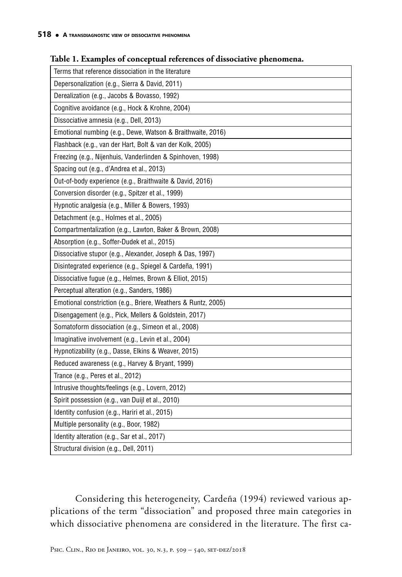| Terms that reference dissociation in the literature           |
|---------------------------------------------------------------|
| Depersonalization (e.g., Sierra & David, 2011)                |
| Derealization (e.g., Jacobs & Bovasso, 1992)                  |
| Cognitive avoidance (e.g., Hock & Krohne, 2004)               |
| Dissociative amnesia (e.g., Dell, 2013)                       |
| Emotional numbing (e.g., Dewe, Watson & Braithwaite, 2016)    |
| Flashback (e.g., van der Hart, Bolt & van der Kolk, 2005)     |
| Freezing (e.g., Nijenhuis, Vanderlinden & Spinhoven, 1998)    |
| Spacing out (e.g., d'Andrea et al., 2013)                     |
| Out-of-body experience (e.g., Braithwaite & David, 2016)      |
| Conversion disorder (e.g., Spitzer et al., 1999)              |
| Hypnotic analgesia (e.g., Miller & Bowers, 1993)              |
| Detachment (e.g., Holmes et al., 2005)                        |
| Compartmentalization (e.g., Lawton, Baker & Brown, 2008)      |
| Absorption (e.g., Soffer-Dudek et al., 2015)                  |
| Dissociative stupor (e.g., Alexander, Joseph & Das, 1997)     |
| Disintegrated experience (e.g., Spiegel & Cardeña, 1991)      |
| Dissociative fugue (e.g., Helmes, Brown & Elliot, 2015)       |
| Perceptual alteration (e.g., Sanders, 1986)                   |
| Emotional constriction (e.g., Briere, Weathers & Runtz, 2005) |
| Disengagement (e.g., Pick, Mellers & Goldstein, 2017)         |
| Somatoform dissociation (e.g., Simeon et al., 2008)           |
| Imaginative involvement (e.g., Levin et al., 2004)            |
| Hypnotizability (e.g., Dasse, Elkins & Weaver, 2015)          |
| Reduced awareness (e.g., Harvey & Bryant, 1999)               |
| Trance (e.g., Peres et al., 2012)                             |
| Intrusive thoughts/feelings (e.g., Lovern, 2012)              |
| Spirit possession (e.g., van Duijl et al., 2010)              |
| Identity confusion (e.g., Hariri et al., 2015)                |
| Multiple personality (e.g., Boor, 1982)                       |
| Identity alteration (e.g., Sar et al., 2017)                  |
| Structural division (e.g., Dell, 2011)                        |

**Table 1. Examples of conceptual references of dissociative phenomena.**

Considering this heterogeneity, Cardeña (1994) reviewed various applications of the term "dissociation" and proposed three main categories in which dissociative phenomena are considered in the literature. The first ca-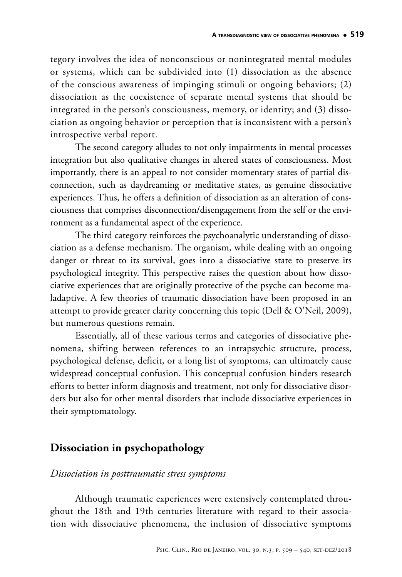tegory involves the idea of nonconscious or nonintegrated mental modules or systems, which can be subdivided into (1) dissociation as the absence of the conscious awareness of impinging stimuli or ongoing behaviors; (2) dissociation as the coexistence of separate mental systems that should be integrated in the person's consciousness, memory, or identity; and (3) dissociation as ongoing behavior or perception that is inconsistent with a person's introspective verbal report.

The second category alludes to not only impairments in mental processes integration but also qualitative changes in altered states of consciousness. Most importantly, there is an appeal to not consider momentary states of partial disconnection, such as daydreaming or meditative states, as genuine dissociative experiences. Thus, he offers a definition of dissociation as an alteration of consciousness that comprises disconnection/disengagement from the self or the environment as a fundamental aspect of the experience.

The third category reinforces the psychoanalytic understanding of dissociation as a defense mechanism. The organism, while dealing with an ongoing danger or threat to its survival, goes into a dissociative state to preserve its psychological integrity. This perspective raises the question about how dissociative experiences that are originally protective of the psyche can become maladaptive. A few theories of traumatic dissociation have been proposed in an attempt to provide greater clarity concerning this topic (Dell & O'Neil, 2009), but numerous questions remain.

Essentially, all of these various terms and categories of dissociative phenomena, shifting between references to an intrapsychic structure, process, psychological defense, deficit, or a long list of symptoms, can ultimately cause widespread conceptual confusion. This conceptual confusion hinders research efforts to better inform diagnosis and treatment, not only for dissociative disorders but also for other mental disorders that include dissociative experiences in their symptomatology.

### **Dissociation in psychopathology**

#### *Dissociation in posttraumatic stress symptoms*

Although traumatic experiences were extensively contemplated throughout the 18th and 19th centuries literature with regard to their association with dissociative phenomena, the inclusion of dissociative symptoms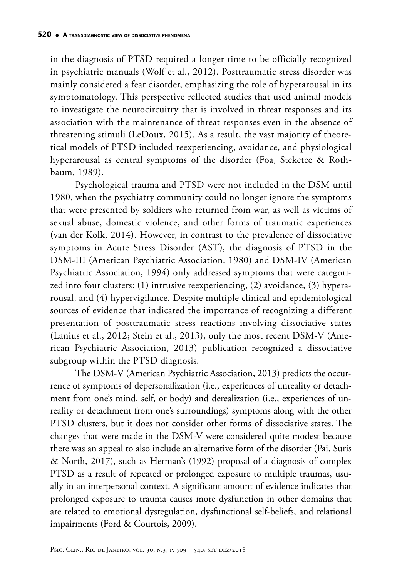in the diagnosis of PTSD required a longer time to be officially recognized in psychiatric manuals (Wolf et al., 2012). Posttraumatic stress disorder was mainly considered a fear disorder, emphasizing the role of hyperarousal in its symptomatology. This perspective reflected studies that used animal models to investigate the neurocircuitry that is involved in threat responses and its association with the maintenance of threat responses even in the absence of threatening stimuli (LeDoux, 2015). As a result, the vast majority of theoretical models of PTSD included reexperiencing, avoidance, and physiological hyperarousal as central symptoms of the disorder (Foa, Steketee & Rothbaum, 1989).

Psychological trauma and PTSD were not included in the DSM until 1980, when the psychiatry community could no longer ignore the symptoms that were presented by soldiers who returned from war, as well as victims of sexual abuse, domestic violence, and other forms of traumatic experiences (van der Kolk, 2014). However, in contrast to the prevalence of dissociative symptoms in Acute Stress Disorder (AST), the diagnosis of PTSD in the DSM-III (American Psychiatric Association, 1980) and DSM-IV (American Psychiatric Association, 1994) only addressed symptoms that were categorized into four clusters: (1) intrusive reexperiencing, (2) avoidance, (3) hyperarousal, and (4) hypervigilance. Despite multiple clinical and epidemiological sources of evidence that indicated the importance of recognizing a different presentation of posttraumatic stress reactions involving dissociative states (Lanius et al., 2012; Stein et al., 2013), only the most recent DSM-V (American Psychiatric Association, 2013) publication recognized a dissociative subgroup within the PTSD diagnosis.

The DSM-V (American Psychiatric Association, 2013) predicts the occurrence of symptoms of depersonalization (i.e., experiences of unreality or detachment from one's mind, self, or body) and derealization (i.e., experiences of unreality or detachment from one's surroundings) symptoms along with the other PTSD clusters, but it does not consider other forms of dissociative states. The changes that were made in the DSM-V were considered quite modest because there was an appeal to also include an alternative form of the disorder (Pai, Suris & North, 2017), such as Herman's (1992) proposal of a diagnosis of complex PTSD as a result of repeated or prolonged exposure to multiple traumas, usually in an interpersonal context. A significant amount of evidence indicates that prolonged exposure to trauma causes more dysfunction in other domains that are related to emotional dysregulation, dysfunctional self-beliefs, and relational impairments (Ford & Courtois, 2009).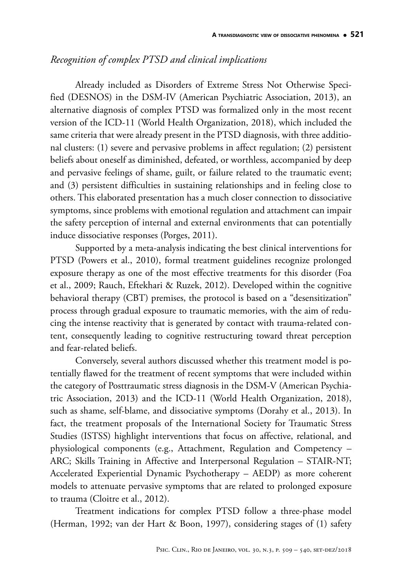#### *Recognition of complex PTSD and clinical implications*

Already included as Disorders of Extreme Stress Not Otherwise Specified (DESNOS) in the DSM-IV (American Psychiatric Association, 2013), an alternative diagnosis of complex PTSD was formalized only in the most recent version of the ICD-11 (World Health Organization, 2018), which included the same criteria that were already present in the PTSD diagnosis, with three additional clusters: (1) severe and pervasive problems in affect regulation; (2) persistent beliefs about oneself as diminished, defeated, or worthless, accompanied by deep and pervasive feelings of shame, guilt, or failure related to the traumatic event; and (3) persistent difficulties in sustaining relationships and in feeling close to others. This elaborated presentation has a much closer connection to dissociative symptoms, since problems with emotional regulation and attachment can impair the safety perception of internal and external environments that can potentially induce dissociative responses (Porges, 2011).

Supported by a meta-analysis indicating the best clinical interventions for PTSD (Powers et al., 2010), formal treatment guidelines recognize prolonged exposure therapy as one of the most effective treatments for this disorder (Foa et al., 2009; Rauch, Eftekhari & Ruzek, 2012). Developed within the cognitive behavioral therapy (CBT) premises, the protocol is based on a "desensitization" process through gradual exposure to traumatic memories, with the aim of reducing the intense reactivity that is generated by contact with trauma-related content, consequently leading to cognitive restructuring toward threat perception and fear-related beliefs.

Conversely, several authors discussed whether this treatment model is potentially flawed for the treatment of recent symptoms that were included within the category of Posttraumatic stress diagnosis in the DSM-V (American Psychiatric Association, 2013) and the ICD-11 (World Health Organization, 2018), such as shame, self-blame, and dissociative symptoms (Dorahy et al., 2013). In fact, the treatment proposals of the International Society for Traumatic Stress Studies (ISTSS) highlight interventions that focus on affective, relational, and physiological components (e.g., Attachment, Regulation and Competency – ARC; Skills Training in Affective and Interpersonal Regulation – STAIR-NT; Accelerated Experiential Dynamic Psychotherapy – AEDP) as more coherent models to attenuate pervasive symptoms that are related to prolonged exposure to trauma (Cloitre et al., 2012).

Treatment indications for complex PTSD follow a three-phase model (Herman, 1992; van der Hart & Boon, 1997), considering stages of (1) safety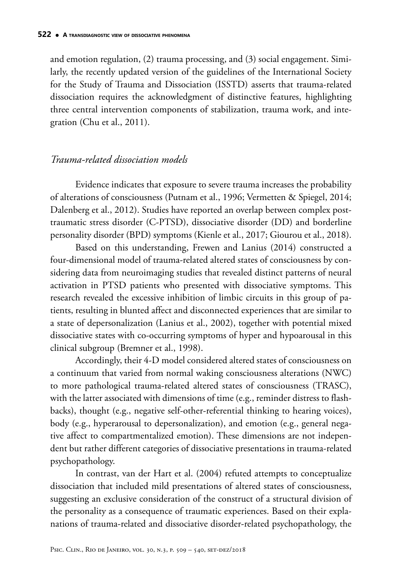and emotion regulation, (2) trauma processing, and (3) social engagement. Similarly, the recently updated version of the guidelines of the International Society for the Study of Trauma and Dissociation (ISSTD) asserts that trauma-related dissociation requires the acknowledgment of distinctive features, highlighting three central intervention components of stabilization, trauma work, and integration (Chu et al., 2011).

#### *Trauma-related dissociation models*

Evidence indicates that exposure to severe trauma increases the probability of alterations of consciousness (Putnam et al., 1996; Vermetten & Spiegel, 2014; Dalenberg et al., 2012). Studies have reported an overlap between complex posttraumatic stress disorder (C-PTSD), dissociative disorder (DD) and borderline personality disorder (BPD) symptoms (Kienle et al., 2017; Giourou et al., 2018).

Based on this understanding, Frewen and Lanius (2014) constructed a four-dimensional model of trauma-related altered states of consciousness by considering data from neuroimaging studies that revealed distinct patterns of neural activation in PTSD patients who presented with dissociative symptoms. This research revealed the excessive inhibition of limbic circuits in this group of patients, resulting in blunted affect and disconnected experiences that are similar to a state of depersonalization (Lanius et al., 2002), together with potential mixed dissociative states with co-occurring symptoms of hyper and hypoarousal in this clinical subgroup (Bremner et al., 1998).

Accordingly, their 4-D model considered altered states of consciousness on a continuum that varied from normal waking consciousness alterations (NWC) to more pathological trauma-related altered states of consciousness (TRASC), with the latter associated with dimensions of time (e.g., reminder distress to flashbacks), thought (e.g., negative self-other-referential thinking to hearing voices), body (e.g., hyperarousal to depersonalization), and emotion (e.g., general negative affect to compartmentalized emotion). These dimensions are not independent but rather different categories of dissociative presentations in trauma-related psychopathology.

In contrast, van der Hart et al. (2004) refuted attempts to conceptualize dissociation that included mild presentations of altered states of consciousness, suggesting an exclusive consideration of the construct of a structural division of the personality as a consequence of traumatic experiences. Based on their explanations of trauma-related and dissociative disorder-related psychopathology, the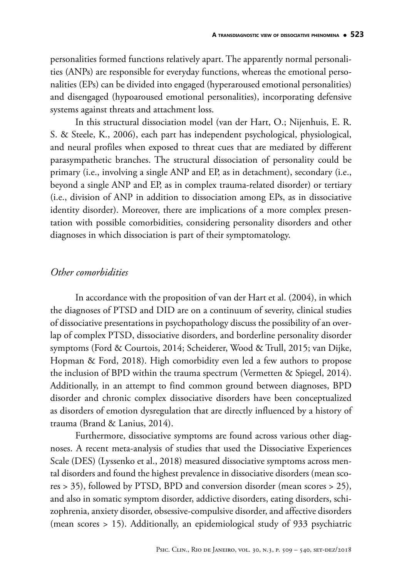personalities formed functions relatively apart. The apparently normal personalities (ANPs) are responsible for everyday functions, whereas the emotional personalities (EPs) can be divided into engaged (hyperaroused emotional personalities) and disengaged (hypoaroused emotional personalities), incorporating defensive systems against threats and attachment loss.

In this structural dissociation model (van der Hart, O.; Nijenhuis, E. R. S. & Steele, K., 2006), each part has independent psychological, physiological, and neural profiles when exposed to threat cues that are mediated by different parasympathetic branches. The structural dissociation of personality could be primary (i.e., involving a single ANP and EP, as in detachment), secondary (i.e., beyond a single ANP and EP, as in complex trauma-related disorder) or tertiary (i.e., division of ANP in addition to dissociation among EPs, as in dissociative identity disorder). Moreover, there are implications of a more complex presentation with possible comorbidities, considering personality disorders and other diagnoses in which dissociation is part of their symptomatology.

#### *Other comorbidities*

In accordance with the proposition of van der Hart et al. (2004), in which the diagnoses of PTSD and DID are on a continuum of severity, clinical studies of dissociative presentations in psychopathology discuss the possibility of an overlap of complex PTSD, dissociative disorders, and borderline personality disorder symptoms (Ford & Courtois, 2014; Scheiderer, Wood & Trull, 2015; van Dijke, Hopman & Ford, 2018). High comorbidity even led a few authors to propose the inclusion of BPD within the trauma spectrum (Vermetten & Spiegel, 2014). Additionally, in an attempt to find common ground between diagnoses, BPD disorder and chronic complex dissociative disorders have been conceptualized as disorders of emotion dysregulation that are directly influenced by a history of trauma (Brand & Lanius, 2014).

Furthermore, dissociative symptoms are found across various other diagnoses. A recent meta-analysis of studies that used the Dissociative Experiences Scale (DES) (Lyssenko et al., 2018) measured dissociative symptoms across mental disorders and found the highest prevalence in dissociative disorders (mean scores > 35), followed by PTSD, BPD and conversion disorder (mean scores > 25), and also in somatic symptom disorder, addictive disorders, eating disorders, schizophrenia, anxiety disorder, obsessive-compulsive disorder, and affective disorders (mean scores > 15). Additionally, an epidemiological study of 933 psychiatric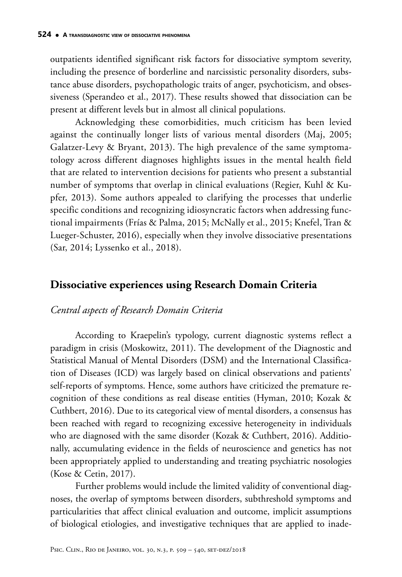outpatients identified significant risk factors for dissociative symptom severity, including the presence of borderline and narcissistic personality disorders, substance abuse disorders, psychopathologic traits of anger, psychoticism, and obsessiveness (Sperandeo et al., 2017). These results showed that dissociation can be present at different levels but in almost all clinical populations.

Acknowledging these comorbidities, much criticism has been levied against the continually longer lists of various mental disorders (Maj, 2005; Galatzer-Levy & Bryant, 2013). The high prevalence of the same symptomatology across different diagnoses highlights issues in the mental health field that are related to intervention decisions for patients who present a substantial number of symptoms that overlap in clinical evaluations (Regier, Kuhl & Kupfer, 2013). Some authors appealed to clarifying the processes that underlie specific conditions and recognizing idiosyncratic factors when addressing functional impairments (Frías & Palma, 2015; McNally et al., 2015; Knefel, Tran & Lueger-Schuster, 2016), especially when they involve dissociative presentations (Sar, 2014; Lyssenko et al., 2018).

# **Dissociative experiences using Research Domain Criteria**

### *Central aspects of Research Domain Criteria*

According to Kraepelin's typology, current diagnostic systems reflect a paradigm in crisis (Moskowitz, 2011). The development of the Diagnostic and Statistical Manual of Mental Disorders (DSM) and the International Classification of Diseases (ICD) was largely based on clinical observations and patients' self-reports of symptoms. Hence, some authors have criticized the premature recognition of these conditions as real disease entities (Hyman, 2010; Kozak & Cuthbert, 2016). Due to its categorical view of mental disorders, a consensus has been reached with regard to recognizing excessive heterogeneity in individuals who are diagnosed with the same disorder (Kozak & Cuthbert, 2016). Additionally, accumulating evidence in the fields of neuroscience and genetics has not been appropriately applied to understanding and treating psychiatric nosologies (Kose & Cetin, 2017).

Further problems would include the limited validity of conventional diagnoses, the overlap of symptoms between disorders, subthreshold symptoms and particularities that affect clinical evaluation and outcome, implicit assumptions of biological etiologies, and investigative techniques that are applied to inade-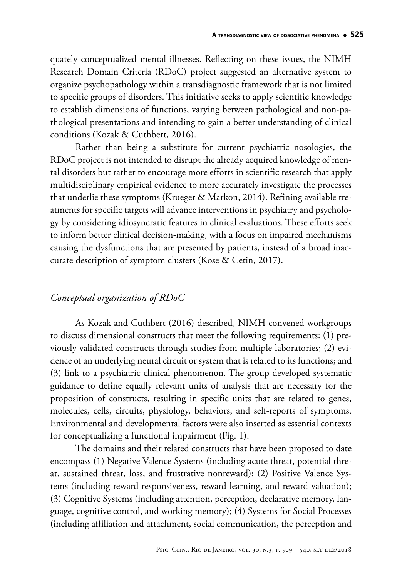quately conceptualized mental illnesses. Reflecting on these issues, the NIMH Research Domain Criteria (RDoC) project suggested an alternative system to organize psychopathology within a transdiagnostic framework that is not limited to specific groups of disorders. This initiative seeks to apply scientific knowledge to establish dimensions of functions, varying between pathological and non-pathological presentations and intending to gain a better understanding of clinical conditions (Kozak & Cuthbert, 2016).

Rather than being a substitute for current psychiatric nosologies, the RDoC project is not intended to disrupt the already acquired knowledge of mental disorders but rather to encourage more efforts in scientific research that apply multidisciplinary empirical evidence to more accurately investigate the processes that underlie these symptoms (Krueger & Markon, 2014). Refining available treatments for specific targets will advance interventions in psychiatry and psychology by considering idiosyncratic features in clinical evaluations. These efforts seek to inform better clinical decision-making, with a focus on impaired mechanisms causing the dysfunctions that are presented by patients, instead of a broad inaccurate description of symptom clusters (Kose & Cetin, 2017).

# *Conceptual organization of RDoC*

As Kozak and Cuthbert (2016) described, NIMH convened workgroups to discuss dimensional constructs that meet the following requirements: (1) previously validated constructs through studies from multiple laboratories; (2) evidence of an underlying neural circuit or system that is related to its functions; and (3) link to a psychiatric clinical phenomenon. The group developed systematic guidance to define equally relevant units of analysis that are necessary for the proposition of constructs, resulting in specific units that are related to genes, molecules, cells, circuits, physiology, behaviors, and self-reports of symptoms. Environmental and developmental factors were also inserted as essential contexts for conceptualizing a functional impairment (Fig. 1).

The domains and their related constructs that have been proposed to date encompass (1) Negative Valence Systems (including acute threat, potential threat, sustained threat, loss, and frustrative nonreward); (2) Positive Valence Systems (including reward responsiveness, reward learning, and reward valuation); (3) Cognitive Systems (including attention, perception, declarative memory, language, cognitive control, and working memory); (4) Systems for Social Processes (including affiliation and attachment, social communication, the perception and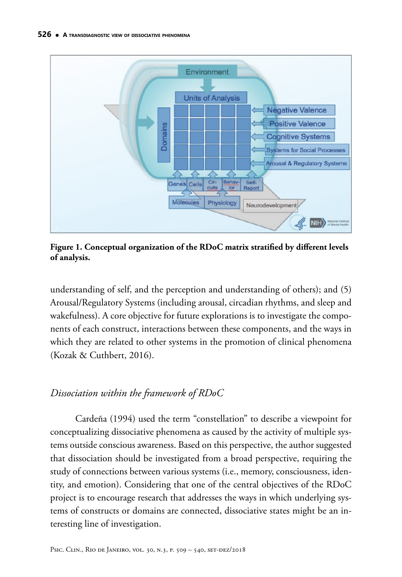

**Figure 1. Conceptual organization of the RDoC matrix stratified by different levels of analysis.**

understanding of self, and the perception and understanding of others); and (5) Arousal/Regulatory Systems (including arousal, circadian rhythms, and sleep and wakefulness). A core objective for future explorations is to investigate the components of each construct, interactions between these components, and the ways in which they are related to other systems in the promotion of clinical phenomena (Kozak & Cuthbert, 2016).

# *Dissociation within the framework of RDoC*

Cardeña (1994) used the term "constellation" to describe a viewpoint for conceptualizing dissociative phenomena as caused by the activity of multiple systems outside conscious awareness. Based on this perspective, the author suggested that dissociation should be investigated from a broad perspective, requiring the study of connections between various systems (i.e., memory, consciousness, identity, and emotion). Considering that one of the central objectives of the RDoC project is to encourage research that addresses the ways in which underlying systems of constructs or domains are connected, dissociative states might be an interesting line of investigation.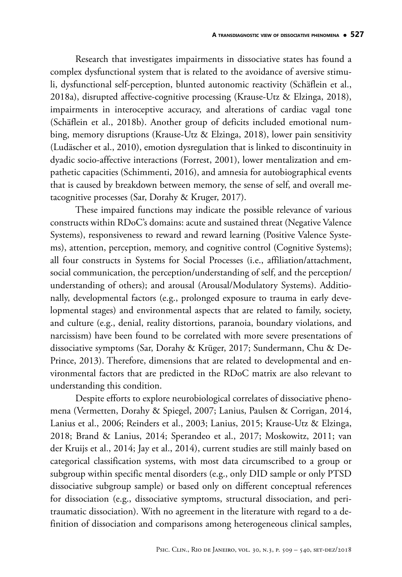Research that investigates impairments in dissociative states has found a complex dysfunctional system that is related to the avoidance of aversive stimuli, dysfunctional self-perception, blunted autonomic reactivity (Schäflein et al., 2018a), disrupted affective-cognitive processing (Krause-Utz & Elzinga, 2018), impairments in interoceptive accuracy, and alterations of cardiac vagal tone (Schäflein et al., 2018b). Another group of deficits included emotional numbing, memory disruptions (Krause-Utz & Elzinga, 2018), lower pain sensitivity (Ludäscher et al., 2010), emotion dysregulation that is linked to discontinuity in dyadic socio-affective interactions (Forrest, 2001), lower mentalization and empathetic capacities (Schimmenti, 2016), and amnesia for autobiographical events that is caused by breakdown between memory, the sense of self, and overall metacognitive processes (Sar, Dorahy & Kruger, 2017).

These impaired functions may indicate the possible relevance of various constructs within RDoC's domains: acute and sustained threat (Negative Valence Systems), responsiveness to reward and reward learning (Positive Valence Systems), attention, perception, memory, and cognitive control (Cognitive Systems); all four constructs in Systems for Social Processes (i.e., affiliation/attachment, social communication, the perception/understanding of self, and the perception/ understanding of others); and arousal (Arousal/Modulatory Systems). Additionally, developmental factors (e.g., prolonged exposure to trauma in early developmental stages) and environmental aspects that are related to family, society, and culture (e.g., denial, reality distortions, paranoia, boundary violations, and narcissism) have been found to be correlated with more severe presentations of dissociative symptoms (Sar, Dorahy & Krüger, 2017; Sundermann, Chu & De-Prince, 2013). Therefore, dimensions that are related to developmental and environmental factors that are predicted in the RDoC matrix are also relevant to understanding this condition.

Despite efforts to explore neurobiological correlates of dissociative phenomena (Vermetten, Dorahy & Spiegel, 2007; Lanius, Paulsen & Corrigan, 2014, Lanius et al., 2006; Reinders et al., 2003; Lanius, 2015; Krause-Utz & Elzinga, 2018; Brand & Lanius, 2014; Sperandeo et al., 2017; Moskowitz, 2011; van der Kruijs et al., 2014; Jay et al., 2014), current studies are still mainly based on categorical classification systems, with most data circumscribed to a group or subgroup within specific mental disorders (e.g., only DID sample or only PTSD dissociative subgroup sample) or based only on different conceptual references for dissociation (e.g., dissociative symptoms, structural dissociation, and peritraumatic dissociation). With no agreement in the literature with regard to a definition of dissociation and comparisons among heterogeneous clinical samples,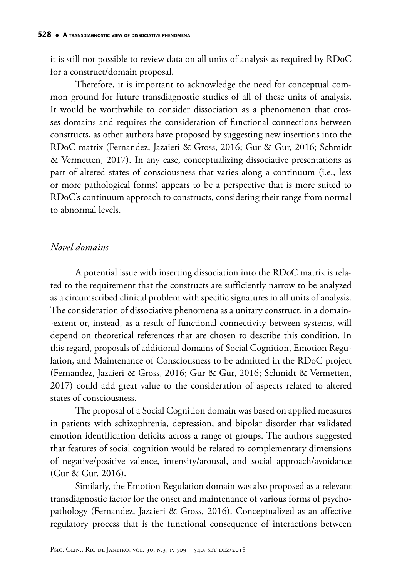it is still not possible to review data on all units of analysis as required by RDoC for a construct/domain proposal.

Therefore, it is important to acknowledge the need for conceptual common ground for future transdiagnostic studies of all of these units of analysis. It would be worthwhile to consider dissociation as a phenomenon that crosses domains and requires the consideration of functional connections between constructs, as other authors have proposed by suggesting new insertions into the RDoC matrix (Fernandez, Jazaieri & Gross, 2016; Gur & Gur, 2016; Schmidt & Vermetten, 2017). In any case, conceptualizing dissociative presentations as part of altered states of consciousness that varies along a continuum (i.e., less or more pathological forms) appears to be a perspective that is more suited to RDoC's continuum approach to constructs, considering their range from normal to abnormal levels.

#### *Novel domains*

A potential issue with inserting dissociation into the RDoC matrix is related to the requirement that the constructs are sufficiently narrow to be analyzed as a circumscribed clinical problem with specific signatures in all units of analysis. The consideration of dissociative phenomena as a unitary construct, in a domain- -extent or, instead, as a result of functional connectivity between systems, will depend on theoretical references that are chosen to describe this condition. In this regard, proposals of additional domains of Social Cognition, Emotion Regulation, and Maintenance of Consciousness to be admitted in the RDoC project (Fernandez, Jazaieri & Gross, 2016; Gur & Gur, 2016; Schmidt & Vermetten, 2017) could add great value to the consideration of aspects related to altered states of consciousness.

The proposal of a Social Cognition domain was based on applied measures in patients with schizophrenia, depression, and bipolar disorder that validated emotion identification deficits across a range of groups. The authors suggested that features of social cognition would be related to complementary dimensions of negative/positive valence, intensity/arousal, and social approach/avoidance (Gur & Gur, 2016).

Similarly, the Emotion Regulation domain was also proposed as a relevant transdiagnostic factor for the onset and maintenance of various forms of psychopathology (Fernandez, Jazaieri & Gross, 2016). Conceptualized as an affective regulatory process that is the functional consequence of interactions between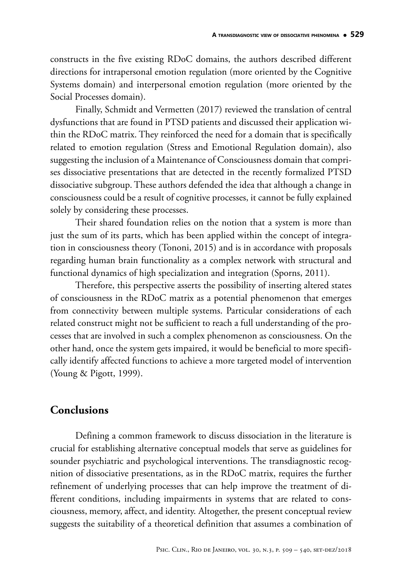constructs in the five existing RDoC domains, the authors described different directions for intrapersonal emotion regulation (more oriented by the Cognitive Systems domain) and interpersonal emotion regulation (more oriented by the Social Processes domain).

Finally, Schmidt and Vermetten (2017) reviewed the translation of central dysfunctions that are found in PTSD patients and discussed their application within the RDoC matrix. They reinforced the need for a domain that is specifically related to emotion regulation (Stress and Emotional Regulation domain), also suggesting the inclusion of a Maintenance of Consciousness domain that comprises dissociative presentations that are detected in the recently formalized PTSD dissociative subgroup. These authors defended the idea that although a change in consciousness could be a result of cognitive processes, it cannot be fully explained solely by considering these processes.

Their shared foundation relies on the notion that a system is more than just the sum of its parts, which has been applied within the concept of integration in consciousness theory (Tononi, 2015) and is in accordance with proposals regarding human brain functionality as a complex network with structural and functional dynamics of high specialization and integration (Sporns, 2011).

Therefore, this perspective asserts the possibility of inserting altered states of consciousness in the RDoC matrix as a potential phenomenon that emerges from connectivity between multiple systems. Particular considerations of each related construct might not be sufficient to reach a full understanding of the processes that are involved in such a complex phenomenon as consciousness. On the other hand, once the system gets impaired, it would be beneficial to more specifically identify affected functions to achieve a more targeted model of intervention (Young & Pigott, 1999).

### **Conclusions**

Defining a common framework to discuss dissociation in the literature is crucial for establishing alternative conceptual models that serve as guidelines for sounder psychiatric and psychological interventions. The transdiagnostic recognition of dissociative presentations, as in the RDoC matrix, requires the further refinement of underlying processes that can help improve the treatment of different conditions, including impairments in systems that are related to consciousness, memory, affect, and identity. Altogether, the present conceptual review suggests the suitability of a theoretical definition that assumes a combination of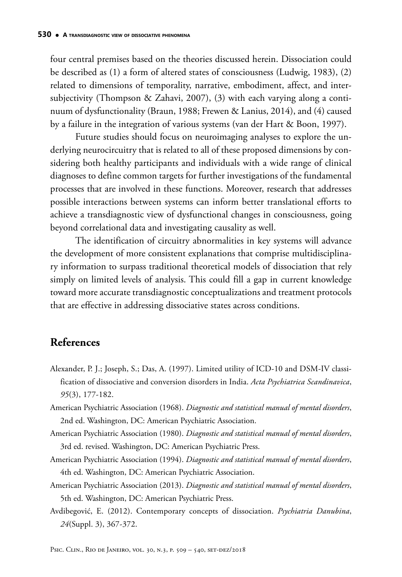four central premises based on the theories discussed herein. Dissociation could be described as (1) a form of altered states of consciousness (Ludwig, 1983), (2) related to dimensions of temporality, narrative, embodiment, affect, and intersubjectivity (Thompson & Zahavi, 2007), (3) with each varying along a continuum of dysfunctionality (Braun, 1988; Frewen & Lanius, 2014), and (4) caused by a failure in the integration of various systems (van der Hart & Boon, 1997).

Future studies should focus on neuroimaging analyses to explore the underlying neurocircuitry that is related to all of these proposed dimensions by considering both healthy participants and individuals with a wide range of clinical diagnoses to define common targets for further investigations of the fundamental processes that are involved in these functions. Moreover, research that addresses possible interactions between systems can inform better translational efforts to achieve a transdiagnostic view of dysfunctional changes in consciousness, going beyond correlational data and investigating causality as well.

The identification of circuitry abnormalities in key systems will advance the development of more consistent explanations that comprise multidisciplinary information to surpass traditional theoretical models of dissociation that rely simply on limited levels of analysis. This could fill a gap in current knowledge toward more accurate transdiagnostic conceptualizations and treatment protocols that are effective in addressing dissociative states across conditions.

# **References**

- Alexander, P. J.; Joseph, S.; Das, A. (1997). Limited utility of ICD-10 and DSM-IV classification of dissociative and conversion disorders in India. *Acta Psychiatrica Scandinavica*, *95*(3), 177-182.
- American Psychiatric Association (1968). *Diagnostic and statistical manual of mental disorders*, 2nd ed. Washington, DC: American Psychiatric Association.
- American Psychiatric Association (1980). *Diagnostic and statistical manual of mental disorders*, 3rd ed. revised. Washington, DC: American Psychiatric Press.
- American Psychiatric Association (1994). *Diagnostic and statistical manual of mental disorders*, 4th ed. Washington, DC: American Psychiatric Association.
- American Psychiatric Association (2013). *Diagnostic and statistical manual of mental disorders*, 5th ed. Washington, DC: American Psychiatric Press.
- Avdibegović, E. (2012). Contemporary concepts of dissociation. *Psychiatria Danubina*, *24*(Suppl. 3), 367-372.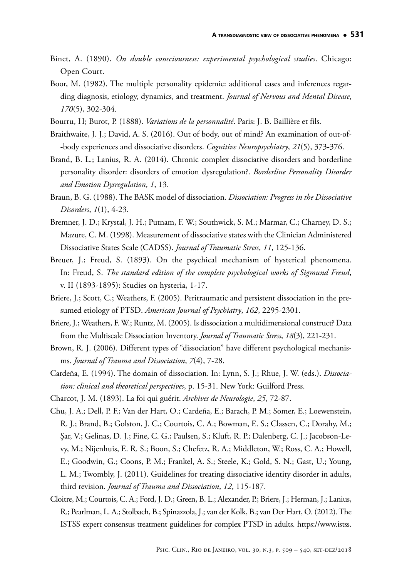- Binet, A. (1890). *On double consciousness: experimental psychological studies*. Chicago: Open Court.
- Boor, M. (1982). The multiple personality epidemic: additional cases and inferences regarding diagnosis, etiology, dynamics, and treatment. *Journal of Nervous and Mental Disease*, *170*(5), 302-304.
- Bourru, H; Burot, P. (1888). *Variations de la personnalité*. Paris: J. B. Baillière et fils.
- Braithwaite, J. J.; David, A. S. (2016). Out of body, out of mind? An examination of out-of- -body experiences and dissociative disorders. *Cognitive Neuropsychiatry*, *21*(5), 373-376.
- Brand, B. L.; Lanius, R. A. (2014). Chronic complex dissociative disorders and borderline personality disorder: disorders of emotion dysregulation?. *Borderline Personality Disorder and Emotion Dysregulation*, *1*, 13.
- Braun, B. G. (1988). The BASK model of dissociation. *Dissociation: Progress in the Dissociative Disorders*, *1*(1), 4-23.
- Bremner, J. D.; Krystal, J. H.; Putnam, F. W.; Southwick, S. M.; Marmar, C.; Charney, D. S.; Mazure, C. M. (1998). Measurement of dissociative states with the Clinician Administered Dissociative States Scale (CADSS). *Journal of Traumatic Stress*, *11*, 125-136.
- Breuer, J.; Freud, S. (1893). On the psychical mechanism of hysterical phenomena. In: Freud, S. *The standard edition of the complete psychological works of Sigmund Freud*, v. II (1893-1895): Studies on hysteria, 1-17.
- Briere, J.; Scott, C.; Weathers, F. (2005). Peritraumatic and persistent dissociation in the presumed etiology of PTSD. *American Journal of Psychiatry*, *162*, 2295-2301.
- Briere, J.; Weathers, F. W.; Runtz, M. (2005). Is dissociation a multidimensional construct? Data from the Multiscale Dissociation Inventory. *Journal of Traumatic Stress*, *18*(3), 221-231.
- Brown, R. J. (2006). Different types of "dissociation" have different psychological mechanisms. *Journal of Trauma and Dissociation*, *7*(4), 7-28.
- Cardeña, E. (1994). The domain of dissociation. In: Lynn, S. J.; Rhue, J. W. (eds.). *Dissociation: clinical and theoretical perspectives*, p. 15-31. New York: Guilford Press.
- Charcot, J. M. (1893). La foi qui guérit. *Archives de Neurologie*, *25*, 72-87.
- Chu, J. A.; Dell, P. F.; Van der Hart, O.; Cardeña, E.; Barach, P. M.; Somer, E.; Loewenstein, R. J.; Brand, B.; Golston, J. C.; Courtois, C. A.; Bowman, E. S.; Classen, C.; Dorahy, M.; Şar, V.; Gelinas, D. J.; Fine, C. G.; Paulsen, S.; Kluft, R. P.; Dalenberg, C. J.; Jacobson-Levy, M.; Nijenhuis, E. R. S.; Boon, S.; Chefetz, R. A.; Middleton, W.; Ross, C. A.; Howell, E.; Goodwin, G.; Coons, P. M.; Frankel, A. S.; Steele, K.; Gold, S. N.; Gast, U.; Young, L. M.; Twombly, J. (2011). Guidelines for treating dissociative identity disorder in adults, third revision. *Journal of Trauma and Dissociation*, *12*, 115-187.
- Cloitre, M.; Courtois, C. A.; Ford, J. D.; Green, B. L.; Alexander, P.; Briere, J.; Herman, J.; Lanius, R.; Pearlman, L. A.; Stolbach, B.; Spinazzola, J.; van der Kolk, B.; van Der Hart, O. (2012). The ISTSS expert consensus treatment guidelines for complex PTSD in adults. https://www.istss.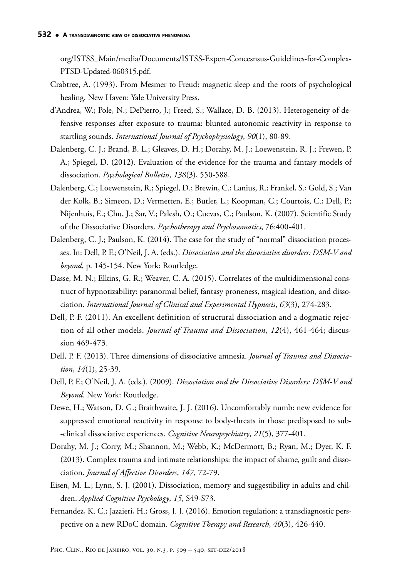org/ISTSS\_Main/media/Documents/ISTSS-Expert-Concesnsus-Guidelines-for-Complex-PTSD-Updated-060315.pdf.

- Crabtree, A. (1993). From Mesmer to Freud: magnetic sleep and the roots of psychological healing. New Haven: Yale University Press.
- d'Andrea, W.; Pole, N.; DePierro, J.; Freed, S.; Wallace, D. B. (2013). Heterogeneity of defensive responses after exposure to trauma: blunted autonomic reactivity in response to startling sounds. *International Journal of Psychophysiology*, *90*(1), 80-89.
- Dalenberg, C. J.; Brand, B. L.; Gleaves, D. H.; Dorahy, M. J.; Loewenstein, R. J.; Frewen, P. A.; Spiegel, D. (2012). Evaluation of the evidence for the trauma and fantasy models of dissociation. *Psychological Bulletin*, *138*(3), 550-588.
- Dalenberg, C.; Loewenstein, R.; Spiegel, D.; Brewin, C.; Lanius, R.; Frankel, S.; Gold, S.; Van der Kolk, B.; Simeon, D.; Vermetten, E.; Butler, L.; Koopman, C.; Courtois, C.; Dell, P.; Nijenhuis, E.; Chu, J.; Sar, V.; Palesh, O.; Cuevas, C.; Paulson, K. (2007). Scientific Study of the Dissociative Disorders. *Psychotherapy and Psychosomatics*, 76:400-401.
- Dalenberg, C. J.; Paulson, K. (2014). The case for the study of "normal" dissociation processes. In: Dell, P. F.; O'Neil, J. A. (eds.). *Dissociation and the dissociative disorders: DSM-V and beyond*, p. 145-154. New York: Routledge.
- Dasse, M. N.; Elkins, G. R.; Weaver, C. A. (2015). Correlates of the multidimensional construct of hypnotizability: paranormal belief, fantasy proneness, magical ideation, and dissociation. *International Journal of Clinical and Experimental Hypnosis*, *63*(3), 274-283.
- Dell, P. F. (2011). An excellent definition of structural dissociation and a dogmatic rejection of all other models. *Journal of Trauma and Dissociation*, *12*(4), 461-464; discussion 469-473.
- Dell, P. F. (2013). Three dimensions of dissociative amnesia. *Journal of Trauma and Dissociation*, *14*(1), 25-39.
- Dell, P. F.; O'Neil, J. A. (eds.). (2009). *Dissociation and the Dissociative Disorders: DSM-V and Beyond*. New York: Routledge.
- Dewe, H.; Watson, D. G.; Braithwaite, J. J. (2016). Uncomfortably numb: new evidence for suppressed emotional reactivity in response to body-threats in those predisposed to sub- -clinical dissociative experiences. *Cognitive Neuropsychiatry*, *21*(5), 377-401.
- Dorahy, M. J.; Corry, M.; Shannon, M.; Webb, K.; McDermott, B.; Ryan, M.; Dyer, K. F. (2013). Complex trauma and intimate relationships: the impact of shame, guilt and dissociation. *Journal of Affective Disorders*, *147*, 72-79.
- Eisen, M. L.; Lynn, S. J. (2001). Dissociation, memory and suggestibility in adults and children. *Applied Cognitive Psychology*, *15*, S49-S73.
- Fernandez, K. C.; Jazaieri, H.; Gross, J. J. (2016). Emotion regulation: a transdiagnostic perspective on a new RDoC domain. *Cognitive Therapy and Research*, *40*(3), 426-440.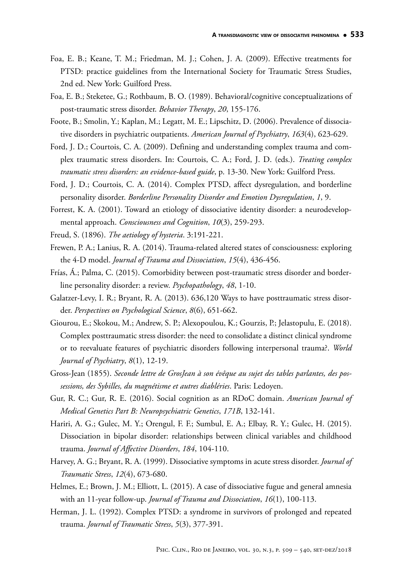- Foa, E. B.; Keane, T. M.; Friedman, M. J.; Cohen, J. A. (2009). Effective treatments for PTSD: practice guidelines from the International Society for Traumatic Stress Studies, 2nd ed. New York: Guilford Press.
- Foa, E. B.; Steketee, G.; Rothbaum, B. O. (1989). Behavioral/cognitive conceptualizations of post-traumatic stress disorder. *Behavior Therapy*, *20*, 155-176.
- Foote, B.; Smolin, Y.; Kaplan, M.; Legatt, M. E.; Lipschitz, D. (2006). Prevalence of dissociative disorders in psychiatric outpatients. *American Journal of Psychiatry*, *163*(4), 623-629.
- Ford, J. D.; Courtois, C. A. (2009). Defining and understanding complex trauma and complex traumatic stress disorders. In: Courtois, C. A.; Ford, J. D. (eds.). *Treating complex traumatic stress disorders: an evidence-based guide*, p. 13-30. New York: Guilford Press.
- Ford, J. D.; Courtois, C. A. (2014). Complex PTSD, affect dysregulation, and borderline personality disorder. *Borderline Personality Disorder and Emotion Dysregulation*, *1*, 9.
- Forrest, K. A. (2001). Toward an etiology of dissociative identity disorder: a neurodevelopmental approach. *Consciousness and Cognition*, *10*(3), 259-293.
- Freud, S. (1896). *The aetiology of hysteria*. 3:191-221.
- Frewen, P. A.; Lanius, R. A. (2014). Trauma-related altered states of consciousness: exploring the 4-D model. *Journal of Trauma and Dissociation*, *15*(4), 436-456.
- Frías, Á.; Palma, C. (2015). Comorbidity between post-traumatic stress disorder and borderline personality disorder: a review. *Psychopathology*, *48*, 1-10.
- Galatzer-Levy, I. R.; Bryant, R. A. (2013). 636,120 Ways to have posttraumatic stress disorder. *Perspectives on Psychological Science*, *8*(6), 651-662.
- Giourou, E.; Skokou, M.; Andrew, S. P.; Alexopoulou, K.; Gourzis, P.; Jelastopulu, E. (2018). Complex posttraumatic stress disorder: the need to consolidate a distinct clinical syndrome or to reevaluate features of psychiatric disorders following interpersonal trauma?. *World Journal of Psychiatry*, *8*(1), 12-19.
- Gross-Jean (1855). *Seconde lettre de GrosJean à son évêque au sujet des tables parlantes, des possessions, des Sybilles, du magnétisme et autres diabléries*. Paris: Ledoyen.
- Gur, R. C.; Gur, R. E. (2016). Social cognition as an RDoC domain. *American Journal of Medical Genetics Part B: Neuropsychiatric Genetics*, *171B*, 132-141.
- Hariri, A. G.; Gulec, M. Y.; Orengul, F. F.; Sumbul, E. A.; Elbay, R. Y.; Gulec, H. (2015). Dissociation in bipolar disorder: relationships between clinical variables and childhood trauma. *Journal of Affective Disorders*, *184*, 104-110.
- Harvey, A. G.; Bryant, R. A. (1999). Dissociative symptoms in acute stress disorder. *Journal of Traumatic Stress*, *12*(4), 673-680.
- Helmes, E.; Brown, J. M.; Elliott, L. (2015). A case of dissociative fugue and general amnesia with an 11-year follow-up. *Journal of Trauma and Dissociation*, *16*(1), 100-113.
- Herman, J. L. (1992). Complex PTSD: a syndrome in survivors of prolonged and repeated trauma. *Journal of Traumatic Stress*, *5*(3), 377-391.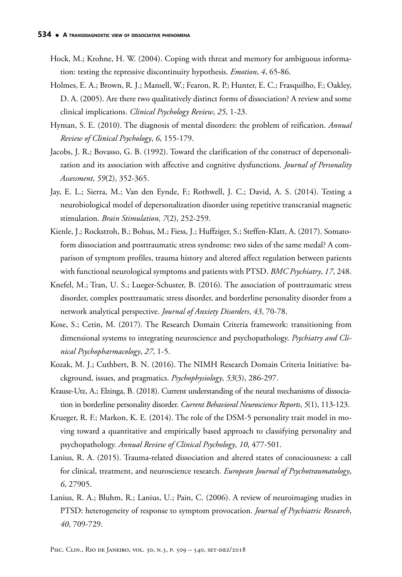- Hock, M.; Krohne, H. W. (2004). Coping with threat and memory for ambiguous information: testing the repressive discontinuity hypothesis. *Emotion*, *4*, 65-86.
- Holmes, E. A.; Brown, R. J.; Mansell, W.; Fearon, R. P.; Hunter, E. C.; Frasquilho, F.; Oakley, D. A. (2005). Are there two qualitatively distinct forms of dissociation? A review and some clinical implications. *Clinical Psychology Review*, *25*, 1-23.
- Hyman, S. E. (2010). The diagnosis of mental disorders: the problem of reification. *Annual Review of Clinical Psychology*, *6*, 155-179.
- Jacobs, J. R.; Bovasso, G. B. (1992). Toward the clarification of the construct of depersonalization and its association with affective and cognitive dysfunctions. *Journal of Personality Assessment*, *59*(2), 352-365.
- Jay, E. L.; Sierra, M.; Van den Eynde, F.; Rothwell, J. C.; David, A. S. (2014). Testing a neurobiological model of depersonalization disorder using repetitive transcranial magnetic stimulation. *Brain Stimulation*, *7*(2), 252-259.
- Kienle, J.; Rockstroh, B.; Bohus, M.; Fiess, J.; Huffziger, S.; Steffen-Klatt, A. (2017). Somatoform dissociation and posttraumatic stress syndrome: two sides of the same medal? A comparison of symptom profiles, trauma history and altered affect regulation between patients with functional neurological symptoms and patients with PTSD. *BMC Psychiatry*, *17*, 248.
- Knefel, M.; Tran, U. S.; Lueger-Schuster, B. (2016). The association of posttraumatic stress disorder, complex posttraumatic stress disorder, and borderline personality disorder from a network analytical perspective. *Journal of Anxiety Disorders*, *43*, 70-78.
- Kose, S.; Cetin, M. (2017). The Research Domain Criteria framework: transitioning from dimensional systems to integrating neuroscience and psychopathology. *Psychiatry and Clinical Psychopharmacology*, *27*, 1-5.
- Kozak, M. J.; Cuthbert, B. N. (2016). The NIMH Research Domain Criteria Initiative: background, issues, and pragmatics. *Psychophysiology*, *53*(3), 286-297.
- Krause-Utz, A.; Elzinga, B. (2018). Current understanding of the neural mechanisms of dissociation in borderline personality disorder. *Current Behavioral Neuroscience Reports*, *5*(1), 113-123.
- Krueger, R. F.; Markon, K. E. (2014). The role of the DSM-5 personality trait model in moving toward a quantitative and empirically based approach to classifying personality and psychopathology. *Annual Review of Clinical Psychology*, *10*, 477-501.
- Lanius, R. A. (2015). Trauma-related dissociation and altered states of consciousness: a call for clinical, treatment, and neuroscience research. *European Journal of Psychotraumatology*, *6*, 27905.
- Lanius, R. A.; Bluhm, R.; Lanius, U.; Pain, C. (2006). A review of neuroimaging studies in PTSD: heterogeneity of response to symptom provocation. *Journal of Psychiatric Research*, *40*, 709-729.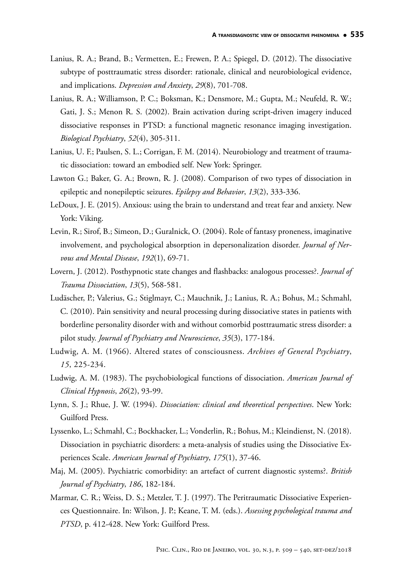- Lanius, R. A.; Brand, B.; Vermetten, E.; Frewen, P. A.; Spiegel, D. (2012). The dissociative subtype of posttraumatic stress disorder: rationale, clinical and neurobiological evidence, and implications. *Depression and Anxiety*, *29*(8), 701-708.
- Lanius, R. A.; Williamson, P. C.; Boksman, K.; Densmore, M.; Gupta, M.; Neufeld, R. W.; Gati, J. S.; Menon R. S. (2002). Brain activation during script-driven imagery induced dissociative responses in PTSD: a functional magnetic resonance imaging investigation. *Biological Psychiatry*, *52*(4), 305-311.
- Lanius, U. F.; Paulsen, S. L.; Corrigan, F. M. (2014). Neurobiology and treatment of traumatic dissociation: toward an embodied self. New York: Springer.
- Lawton G.; Baker, G. A.; Brown, R. J. (2008). Comparison of two types of dissociation in epileptic and nonepileptic seizures. *Epilepsy and Behavior*, *13*(2), 333-336.
- LeDoux, J. E. (2015). Anxious: using the brain to understand and treat fear and anxiety. New York: Viking.
- Levin, R.; Sirof, B.; Simeon, D.; Guralnick, O. (2004). Role of fantasy proneness, imaginative involvement, and psychological absorption in depersonalization disorder. *Journal of Nervous and Mental Disease*, *192*(1), 69-71.
- Lovern, J. (2012). Posthypnotic state changes and flashbacks: analogous processes?. *Journal of Trauma Dissociation*, *13*(5), 568-581.
- Ludäscher, P.; Valerius, G.; Stiglmayr, C.; Mauchnik, J.; Lanius, R. A.; Bohus, M.; Schmahl, C. (2010). Pain sensitivity and neural processing during dissociative states in patients with borderline personality disorder with and without comorbid posttraumatic stress disorder: a pilot study. *Journal of Psychiatry and Neuroscience*, *35*(3), 177-184.
- Ludwig, A. M. (1966). Altered states of consciousness. *Archives of General Psychiatry*, *15*, 225-234.
- Ludwig, A. M. (1983). The psychobiological functions of dissociation. *American Journal of Clinical Hypnosis*, *26*(2), 93-99.
- Lynn, S. J.; Rhue, J. W. (1994). *Dissociation: clinical and theoretical perspectives*. New York: Guilford Press.
- Lyssenko, L.; Schmahl, C.; Bockhacker, L.; Vonderlin, R.; Bohus, M.; Kleindienst, N. (2018). Dissociation in psychiatric disorders: a meta-analysis of studies using the Dissociative Experiences Scale. *American Journal of Psychiatry*, *175*(1), 37-46.
- Maj, M. (2005). Psychiatric comorbidity: an artefact of current diagnostic systems?. *British Journal of Psychiatry*, *186*, 182-184.
- Marmar, C. R.; Weiss, D. S.; Metzler, T. J. (1997). The Peritraumatic Dissociative Experiences Questionnaire. In: Wilson, J. P.; Keane, T. M. (eds.). *Assessing psychological trauma and PTSD*, p. 412-428. New York: Guilford Press.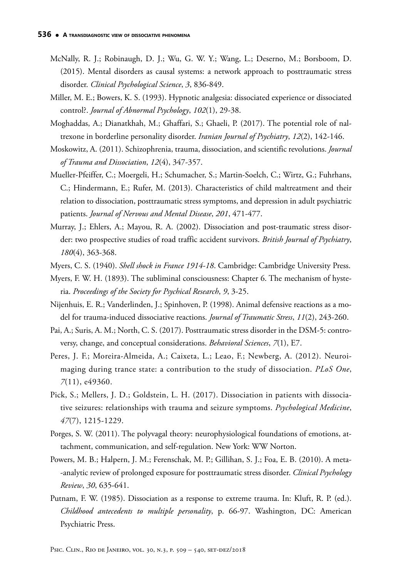- McNally, R. J.; Robinaugh, D. J.; Wu, G. W. Y.; Wang, L.; Deserno, M.; Borsboom, D. (2015). Mental disorders as causal systems: a network approach to posttraumatic stress disorder. *Clinical Psychological Science*, *3*, 836-849.
- Miller, M. E.; Bowers, K. S. (1993). Hypnotic analgesia: dissociated experience or dissociated control?. *Journal of Abnormal Psychology*, *102*(1), 29-38.
- Moghaddas, A.; Dianatkhah, M.; Ghaffari, S.; Ghaeli, P. (2017). The potential role of naltrexone in borderline personality disorder. *Iranian Journal of Psychiatry*, *12*(2), 142-146.
- Moskowitz, A. (2011). Schizophrenia, trauma, dissociation, and scientific revolutions. *Journal of Trauma and Dissociation*, *12*(4), 347-357.
- Mueller-Pfeiffer, C.; Moergeli, H.; Schumacher, S.; Martin-Soelch, C.; Wirtz, G.; Fuhrhans, C.; Hindermann, E.; Rufer, M. (2013). Characteristics of child maltreatment and their relation to dissociation, posttraumatic stress symptoms, and depression in adult psychiatric patients. *Journal of Nervous and Mental Disease*, *201*, 471-477.
- Murray, J.; Ehlers, A.; Mayou, R. A. (2002). Dissociation and post-traumatic stress disorder: two prospective studies of road traffic accident survivors. *British Journal of Psychiatry*, *180*(4), 363-368.
- Myers, C. S. (1940). *Shell shock in France 1914-18*. Cambridge: Cambridge University Press.
- Myers, F. W. H. (1893). The subliminal consciousness: Chapter 6. The mechanism of hysteria. *Proceedings of the Society for Psychical Research*, *9*, 3-25.
- Nijenhuis, E. R.; Vanderlinden, J.; Spinhoven, P. (1998). Animal defensive reactions as a model for trauma-induced dissociative reactions. *Journal of Traumatic Stress*, *11*(2), 243-260.
- Pai, A.; Suris, A. M.; North, C. S. (2017). Posttraumatic stress disorder in the DSM-5: controversy, change, and conceptual considerations. *Behavioral Sciences*, *7*(1), E7.
- Peres, J. F.; Moreira-Almeida, A.; Caixeta, L.; Leao, F.; Newberg, A. (2012). Neuroimaging during trance state: a contribution to the study of dissociation. *PLoS One*, *7*(11), e49360.
- Pick, S.; Mellers, J. D.; Goldstein, L. H. (2017). Dissociation in patients with dissociative seizures: relationships with trauma and seizure symptoms. *Psychological Medicine*, *47*(7), 1215-1229.
- Porges, S. W. (2011). The polyvagal theory: neurophysiological foundations of emotions, attachment, communication, and self-regulation. New York: WW Norton.
- Powers, M. B.; Halpern, J. M.; Ferenschak, M. P.; Gillihan, S. J.; Foa, E. B. (2010). A meta- -analytic review of prolonged exposure for posttraumatic stress disorder. *Clinical Psychology Review*, *30*, 635-641.
- Putnam, F. W. (1985). Dissociation as a response to extreme trauma. In: Kluft, R. P. (ed.). *Childhood antecedents to multiple personality*, p. 66-97. Washington, DC: American Psychiatric Press.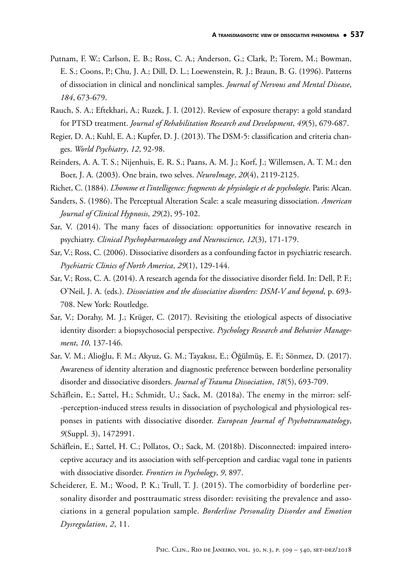- Putnam, F. W.; Carlson, E. B.; Ross, C. A.; Anderson, G.; Clark, P.; Torem, M.; Bowman, E. S.; Coons, P.; Chu, J. A.; Dill, D. L.; Loewenstein, R. J.; Braun, B. G. (1996). Patterns of dissociation in clinical and nonclinical samples. *Journal of Nervous and Mental Disease*, *184*, 673-679.
- Rauch, S. A.; Eftekhari, A.; Ruzek, J. I. (2012). Review of exposure therapy: a gold standard for PTSD treatment. *Journal of Rehabilitation Research and Development*, *49*(5), 679-687.
- Regier, D. A.; Kuhl, E. A.; Kupfer, D. J. (2013). The DSM-5: classification and criteria changes. *World Psychiatry*, *12*, 92-98.
- Reinders, A. A. T. S.; Nijenhuis, E. R. S.; Paans, A. M. J.; Korf, J.; Willemsen, A. T. M.; den Boer, J. A. (2003). One brain, two selves. *NeuroImage*, *20*(4), 2119-2125.
- Richet, C. (1884). *L'homme et l'intelligence: fragments de physiologie et de psychologie*. Paris: Alcan.
- Sanders, S. (1986). The Perceptual Alteration Scale: a scale measuring dissociation. *American Journal of Clinical Hypnosis*, *29*(2), 95-102.
- Sar, V. (2014). The many faces of dissociation: opportunities for innovative research in psychiatry. *Clinical Psychopharmacology and Neuroscience*, *12*(3), 171-179.
- Sar, V.; Ross, C. (2006). Dissociative disorders as a confounding factor in psychiatric research. *Psychiatric Clinics of North America*, *29*(1), 129-144.
- Sar, V.; Ross, C. A. (2014). A research agenda for the dissociative disorder field. In: Dell, P. F.; O'Neil, J. A. (eds.). *Dissociation and the dissociative disorders: DSM-V and beyond*, p. 693- 708. New York: Routledge.
- Sar, V.; Dorahy, M. J.; Krüger, C. (2017). Revisiting the etiological aspects of dissociative identity disorder: a biopsychosocial perspective. *Psychology Research and Behavior Management*, *10*, 137-146.
- Sar, V. M.; Alioğlu, F. M.; Akyuz, G. M.; Tayakısı, E.; Öğülmüş, E. F.; Sönmez, D. (2017). Awareness of identity alteration and diagnostic preference between borderline personality disorder and dissociative disorders. *Journal of Trauma Dissociation*, *18*(5), 693-709.
- Schäflein, E.; Sattel, H.; Schmidt, U.; Sack, M. (2018a). The enemy in the mirror: self- -perception-induced stress results in dissociation of psychological and physiological responses in patients with dissociative disorder. *European Journal of Psychotraumatology*, *9*(Suppl. 3), 1472991.
- Schäflein, E.; Sattel, H. C.; Pollatos, O.; Sack, M. (2018b). Disconnected: impaired interoceptive accuracy and its association with self-perception and cardiac vagal tone in patients with dissociative disorder. *Frontiers in Psychology*, *9*, 897.
- Scheiderer, E. M.; Wood, P. K.; Trull, T. J. (2015). The comorbidity of borderline personality disorder and posttraumatic stress disorder: revisiting the prevalence and associations in a general population sample. *Borderline Personality Disorder and Emotion Dysregulation*, *2*, 11.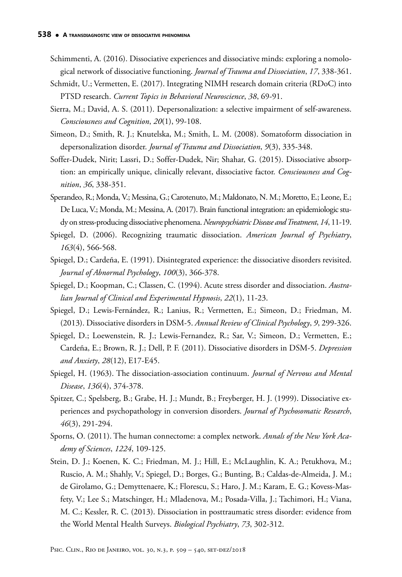- Schimmenti, A. (2016). Dissociative experiences and dissociative minds: exploring a nomological network of dissociative functioning. *Journal of Trauma and Dissociation*, *17*, 338-361.
- Schmidt, U.; Vermetten, E. (2017). Integrating NIMH research domain criteria (RDoC) into PTSD research. *Current Topics in Behavioral Neuroscience*, *38*, 69-91.
- Sierra, M.; David, A. S. (2011). Depersonalization: a selective impairment of self-awareness. *Consciousness and Cognition*, *20*(1), 99-108.
- Simeon, D.; Smith, R. J.; Knutelska, M.; Smith, L. M. (2008). Somatoform dissociation in depersonalization disorder. *Journal of Trauma and Dissociation*, *9*(3), 335-348.
- Soffer-Dudek, Nirit; Lassri, D.; Soffer-Dudek, Nir; Shahar, G. (2015). Dissociative absorption: an empirically unique, clinically relevant, dissociative factor. *Consciousness and Cognition*, *36*, 338-351.
- Sperandeo, R.; Monda, V.; Messina, G.; Carotenuto, M.; Maldonato, N. M.; Moretto, E.; Leone, E.; De Luca, V.; Monda, M.; Messina, A. (2017). Brain functional integration: an epidemiologic study on stress-producing dissociative phenomena. *Neuropsychiatric Disease and Treatment*, *14*, 11-19.
- Spiegel, D. (2006). Recognizing traumatic dissociation. *American Journal of Psychiatry*, *163*(4), 566-568.
- Spiegel, D.; Cardeña, E. (1991). Disintegrated experience: the dissociative disorders revisited. *Journal of Abnormal Psychology*, *100*(3), 366-378.
- Spiegel, D.; Koopman, C.; Classen, C. (1994). Acute stress disorder and dissociation. *Australian Journal of Clinical and Experimental Hypnosis*, *22*(1), 11-23.
- Spiegel, D.; Lewis-Fernández, R.; Lanius, R.; Vermetten, E.; Simeon, D.; Friedman, M. (2013). Dissociative disorders in DSM-5. *Annual Review of Clinical Psychology*, *9*, 299-326.
- Spiegel, D.; Loewenstein, R. J.; Lewis-Fernandez, R.; Sar, V.; Simeon, D.; Vermetten, E.; Cardeña, E.; Brown, R. J.; Dell, P. F. (2011). Dissociative disorders in DSM-5. *Depression and Anxiety*, *28*(12), E17-E45.
- Spiegel, H. (1963). The dissociation-association continuum. *Journal of Nervous and Mental Disease*, *136*(4), 374-378.
- Spitzer, C.; Spelsberg, B.; Grabe, H. J.; Mundt, B.; Freyberger, H. J. (1999). Dissociative experiences and psychopathology in conversion disorders. *Journal of Psychosomatic Research*, *46*(3), 291-294.
- Sporns, O. (2011). The human connectome: a complex network. *Annals of the New York Academy of Sciences*, *1224*, 109-125.
- Stein, D. J.; Koenen, K. C.; Friedman, M. J.; Hill, E.; McLaughlin, K. A.; Petukhova, M.; Ruscio, A. M.; Shahly, V.; Spiegel, D.; Borges, G.; Bunting, B.; Caldas-de-Almeida, J. M.; de Girolamo, G.; Demyttenaere, K.; Florescu, S.; Haro, J. M.; Karam, E. G.; Kovess-Masfety, V.; Lee S.; Matschinger, H.; Mladenova, M.; Posada-Villa, J.; Tachimori, H.; Viana, M. C.; Kessler, R. C. (2013). Dissociation in posttraumatic stress disorder: evidence from the World Mental Health Surveys. *Biological Psychiatry*, *73*, 302-312.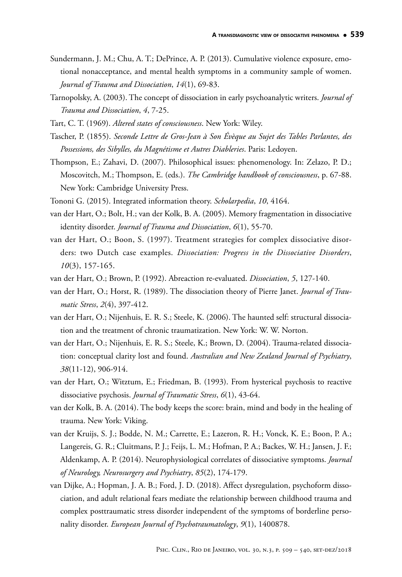- Sundermann, J. M.; Chu, A. T.; DePrince, A. P. (2013). Cumulative violence exposure, emotional nonacceptance, and mental health symptoms in a community sample of women. *Journal of Trauma and Dissociation*, *14*(1), 69-83.
- Tarnopolsky, A. (2003). The concept of dissociation in early psychoanalytic writers. *Journal of Trauma and Dissociation*, *4*, 7-25.
- Tart, C. T. (1969). *Altered states of consciousness*. New York: Wiley.
- Tascher, P. (1855). *Seconde Lettre de Gros-Jean à Son Évèque au Sujet des Tables Parlantes, des Possessions, des Sibylles, du Magnétisme et Autres Diableries*. Paris: Ledoyen.
- Thompson, E.; Zahavi, D. (2007). Philosophical issues: phenomenology. In: Zelazo, P. D.; Moscovitch, M.; Thompson, E. (eds.). *The Cambridge handbook of consciousness*, p. 67-88. New York: Cambridge University Press.
- Tononi G. (2015). Integrated information theory. *Scholarpedia*, *10*, 4164.
- van der Hart, O.; Bolt, H.; van der Kolk, B. A. (2005). Memory fragmentation in dissociative identity disorder. *Journal of Trauma and Dissociation*, *6*(1), 55-70.
- van der Hart, O.; Boon, S. (1997). Treatment strategies for complex dissociative disorders: two Dutch case examples. *Dissociation: Progress in the Dissociative Disorders*, *10*(3), 157-165.
- van der Hart, O.; Brown, P. (1992). Abreaction re-evaluated. *Dissociation*, *5*, 127-140.
- van der Hart, O.; Horst, R. (1989). The dissociation theory of Pierre Janet. *Journal of Traumatic Stress*, *2*(4), 397-412.
- van der Hart, O.; Nijenhuis, E. R. S.; Steele, K. (2006). The haunted self: structural dissociation and the treatment of chronic traumatization. New York: W. W. Norton.
- van der Hart, O.; Nijenhuis, E. R. S.; Steele, K.; Brown, D. (2004). Trauma-related dissociation: conceptual clarity lost and found. *Australian and New Zealand Journal of Psychiatry*, *38*(11-12), 906-914.
- van der Hart, O.; Witztum, E.; Friedman, B. (1993). From hysterical psychosis to reactive dissociative psychosis. *Journal of Traumatic Stress*, *6*(1), 43-64.
- van der Kolk, B. A. (2014). The body keeps the score: brain, mind and body in the healing of trauma. New York: Viking.
- van der Kruijs, S. J.; Bodde, N. M.; Carrette, E.; Lazeron, R. H.; Vonck, K. E.; Boon, P. A.; Langereis, G. R.; Cluitmans, P. J.; Feijs, L. M.; Hofman, P. A.; Backes, W. H.; Jansen, J. F.; Aldenkamp, A. P. (2014). Neurophysiological correlates of dissociative symptoms. *Journal of Neurology, Neurosurgery and Psychiatry*, *85*(2), 174-179.
- van Dijke, A.; Hopman, J. A. B.; Ford, J. D. (2018). Affect dysregulation, psychoform dissociation, and adult relational fears mediate the relationship between childhood trauma and complex posttraumatic stress disorder independent of the symptoms of borderline personality disorder. *European Journal of Psychotraumatology*, *9*(1), 1400878.